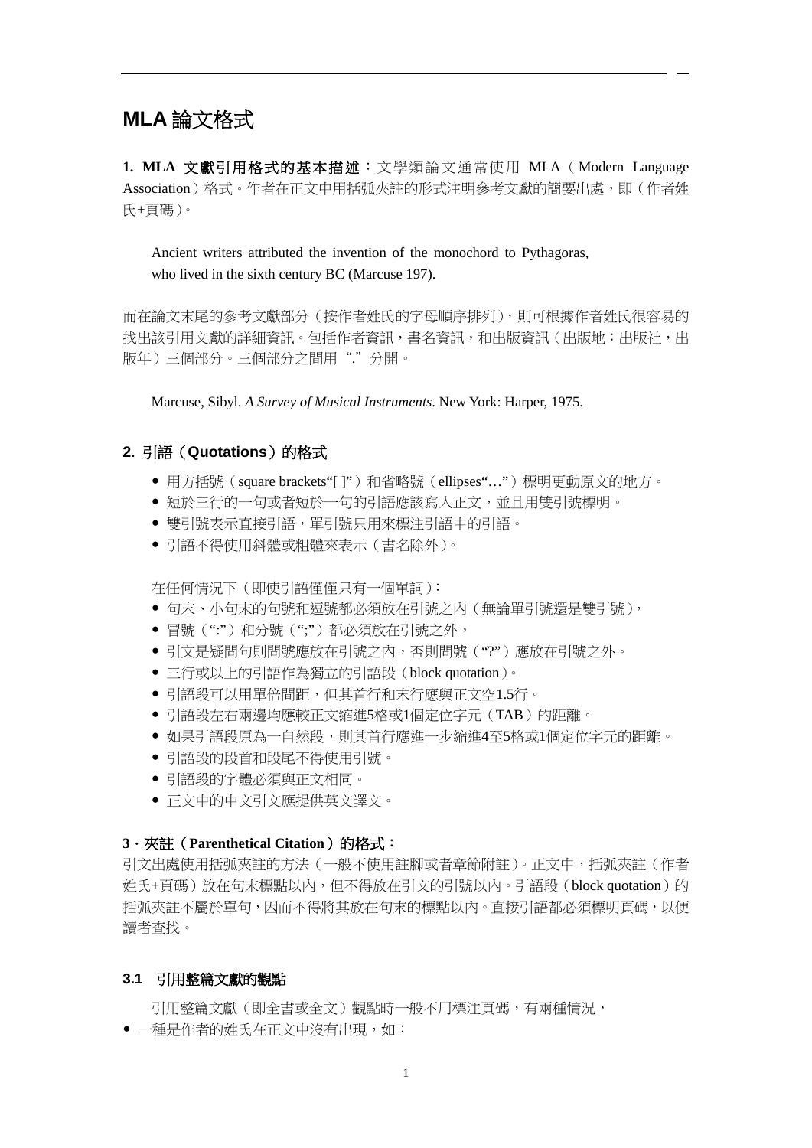# **MLA** 論文格式

**1. MLA** 文獻引用格式的基本描述:文學類論文通常使用 MLA(Modern Language Association)格式。作者在正文中用括弧夾註的形式注明參考文獻的簡要出處,即(作者姓 氏+頁碼)。

Ancient writers attributed the invention of the monochord to Pythagoras, who lived in the sixth century BC (Marcuse 197).

而在論文末尾的參考文獻部分(按作者姓氏的字母順序排列),則可根據作者姓氏很容易的 找出該引用文獻的詳細資訊。包括作者資訊,書名資訊,和出版資訊(出版地:出版社,出 版年)三個部分。三個部分之間用"."分開。

Marcuse, Sibyl. *A Survey of Musical Instruments*. New York: Harper, 1975.

# 2. 引語 (Quotations) 的格式

- 用方括號 (square brackets"[ ]")和省略號 (ellipses"...")標明更動原文的地方。
- 短於三行的一句或者短於一句的引語應該寫入正文,並且用雙引號標明。
- 雙引號表示直接引語,單引號只用來標注引語中的引語。
- 引語不得使用斜體或粗體來表示(書名除外)。

在任何情況下(即使引語僅僅只有一個單詞):

- 句末、小句末的句號和逗號都必須放在引號之內 (無論單引號還是雙引號),
- 冒號(";")和分號(";")都必須放在引號之外,
- ●引文是疑問句則問號應放在引號之內,否則問號("?")應放在引號之外。
- 三行或以上的引語作為獨立的引語段(block quotation)。
- 引語段可以用單倍間距,但其首行和末行應與正文空1.5行。
- 引語段左右兩邊均應較正文縮進5格或1個定位字元 (TAB) 的距離。
- 如果引語段原為一自然段,則其首行應進一步縮進4至5格或1個定位字元的距離。
- 引語段的段首和段尾不得使用引號。
- 引語段的字體必須與正文相同。
- 正文中的中文引文應提供英文譯文。

# **3**.夾註(**Parenthetical Citation**)的格式:

引文出處使用括弧夾註的方法(一般不使用註腳或者章節附註)。正文中,括弧夾註(作者 姓氏+頁碼)放在句末標點以內,但不得放在引文的引號以內。引語段(block quotation)的 括弧夾註不屬於單句,因而不得將其放在句末的標點以內。直接引語都必須標明頁碼,以便 讀者查找。

#### **3.1** 引用整篇文獻的觀點

引用整篇文獻(即全書或全文)觀點時一般不用標注頁碼,有兩種情況,

一種是作者的姓氏在正文中沒有出現,如: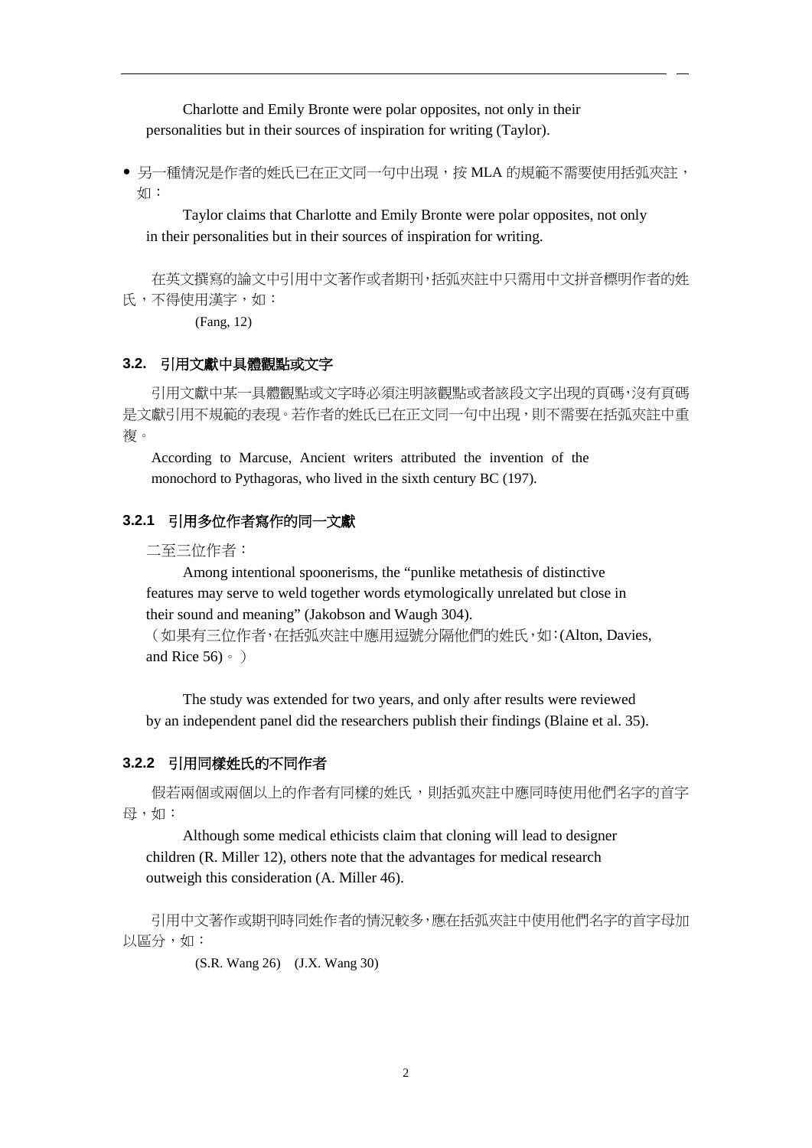Charlotte and Emily Bronte were polar opposites, not only in their personalities but in their sources of inspiration for writing (Taylor).

● 另一種情況是作者的姓氏已在正文同一句中出現,按 MLA 的規範不需要使用括弧夾註, 如:

Taylor claims that Charlotte and Emily Bronte were polar opposites, not only in their personalities but in their sources of inspiration for writing.

在英文撰寫的論文中引用中文著作或者期刊,括弧夾註中只需用中文拼音標明作者的姓 氏,不得使用漢字,如:

(Fang, 12)

## **3.2.** 引用文獻中具體觀點或文字

引用文獻中某一具體觀點或文字時必須注明該觀點或者該段文字出現的頁碼,沒有頁碼 是文獻引用不規範的表現。若作者的姓氏已在正文同一句中出現,則不需要在括弧夾註中重 複。

According to Marcuse, Ancient writers attributed the invention of the monochord to Pythagoras, who lived in the sixth century BC (197).

#### **3.2.1** 引用多位作者寫作的同一文獻

二至三位作者:

Among intentional spoonerisms, the "punlike metathesis of distinctive features may serve to weld together words etymologically unrelated but close in their sound and meaning" (Jakobson and Waugh 304).

(如果有三位作者,在括弧夾註中應用逗號分隔他們的姓氏,如:(Alton, Davies, and Rice  $56) \cdot$ )

The study was extended for two years, and only after results were reviewed by an independent panel did the researchers publish their findings (Blaine et al. 35).

#### **3.2.2** 引用同樣姓氏的不同作者

假若兩個或兩個以上的作者有同樣的姓氏,則括弧夾註中應同時使用他們名字的首字 母,如:

Although some medical ethicists claim that cloning will lead to designer children (R. Miller 12), others note that the advantages for medical research outweigh this consideration (A. Miller 46).

引用中文著作或期刊時同姓作者的情況較多,應在括弧夾註中使用他們名字的首字母加 以區分,如:

(S.R. Wang 26) (J.X. Wang 30)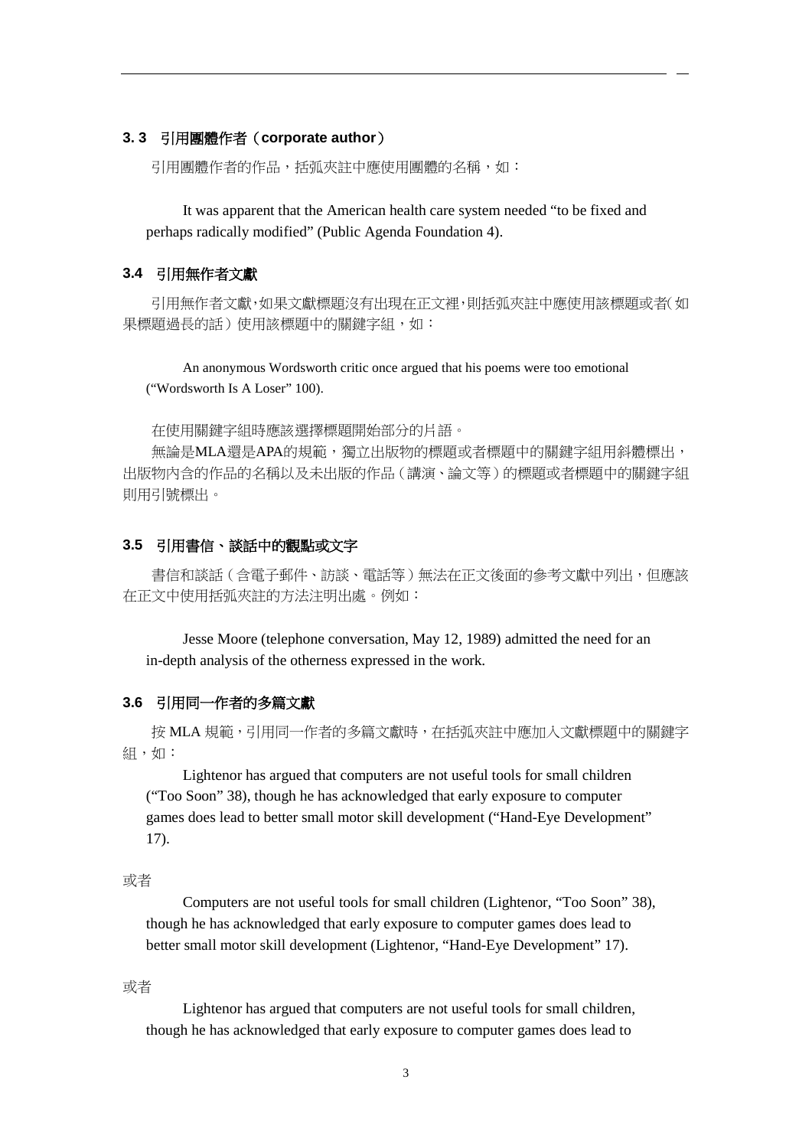#### **3. 3** 引用團體作者(**corporate author**)

引用團體作者的作品,括弧夾註中應使用團體的名稱,如:

It was apparent that the American health care system needed "to be fixed and perhaps radically modified" (Public Agenda Foundation 4).

## **3.4** 引用無作者文獻

引用無作者文獻,如果文獻標題沒有出現在正文裡,則括弧夾註中應使用該標題或者(如 果標題過長的話)使用該標題中的關鍵字組,如:

An anonymous Wordsworth critic once argued that his poems were too emotional ("Wordsworth Is A Loser" 100).

在使用關鍵字組時應該選擇標題開始部分的片語。

無論是MLA還是APA的規範,獨立出版物的標題或者標題中的關鍵字組用斜體標出, 出版物內含的作品的名稱以及未出版的作品(講演、論文等)的標題或者標題中的關鍵字組 則用引號標出。

#### **3.5** 引用書信、談話中的觀點或文字

書信和談話(含電子郵件、訪談、電話等)無法在正文後面的參考文獻中列出,但應該 在正文中使用括弧夾註的方法注明出處。例如:

Jesse Moore (telephone conversation, May 12, 1989) admitted the need for an in-depth analysis of the otherness expressed in the work.

# **3.6** 引用同一作者的多篇文獻

按 MLA 規範,引用同一作者的多篇文獻時,在括弧夾註中應加入文獻標題中的關鍵字 組,如:

Lightenor has argued that computers are not useful tools for small children ("Too Soon" 38), though he has acknowledged that early exposure to computer games does lead to better small motor skill development ("Hand-Eye Development" 17).

或者

Computers are not useful tools for small children (Lightenor, "Too Soon" 38), though he has acknowledged that early exposure to computer games does lead to better small motor skill development (Lightenor, "Hand-Eye Development" 17).

## 或者

Lightenor has argued that computers are not useful tools for small children, though he has acknowledged that early exposure to computer games does lead to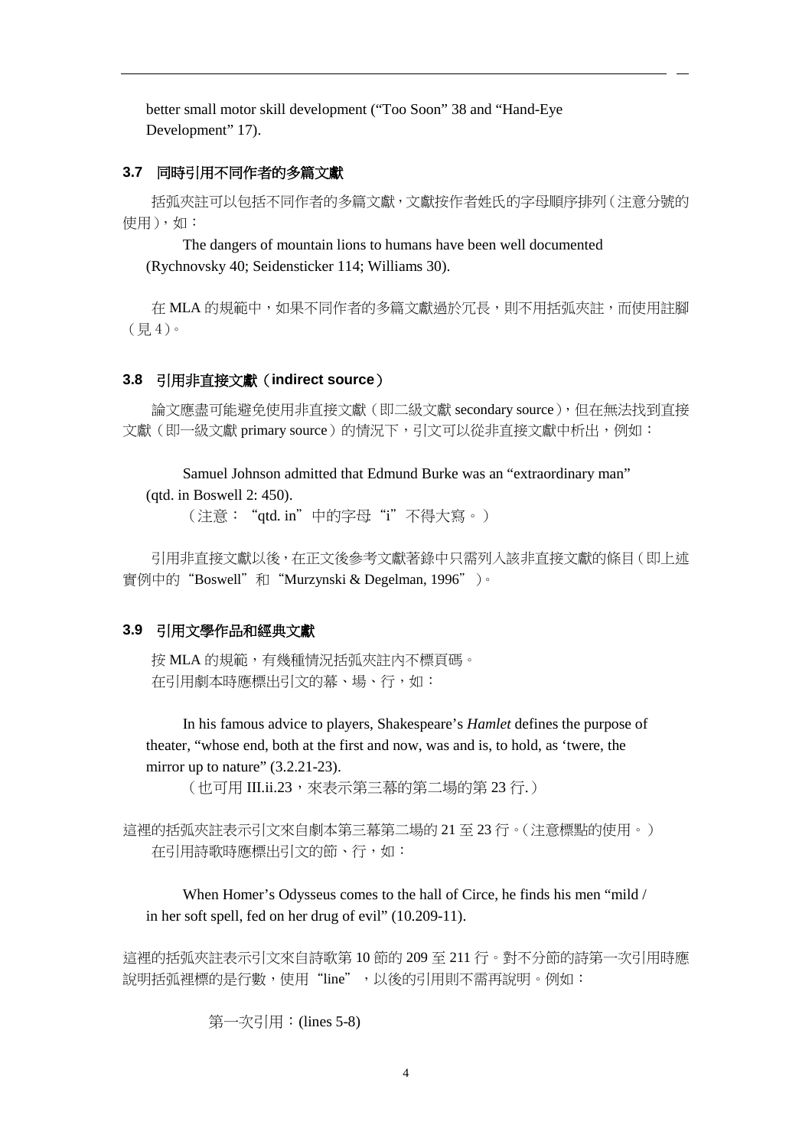better small motor skill development ("Too Soon" 38 and "Hand-Eye Development" 17).

## **3.7** 同時引用不同作者的多篇文獻

括弧夾註可以包括不同作者的多篇文獻,文獻按作者姓氏的字母順序排列(注意分號的 使用),如:

The dangers of mountain lions to humans have been well documented (Rychnovsky 40; Seidensticker 114; Williams 30).

在 MLA 的規範中,如果不同作者的多篇文獻過於冗長,則不用括弧夾註,而使用註腳 (見 4)。

## **3.8** 引用非直接文獻(**indirect source**)

論文應盡可能避免使用非直接文獻(即二級文獻 secondary source),但在無法找到直接 文獻(即一級文獻 primary source)的情況下,引文可以從非直接文獻中析出,例如:

Samuel Johnson admitted that Edmund Burke was an "extraordinary man" (qtd. in Boswell 2: 450).

(注意:"qtd. in"中的字母"i"不得大寫。)

引用非直接文獻以後,在正文後參考文獻著錄中只需列入該非直接文獻的條目(即上述 實例中的"Boswell"和"Murzynski & Degelman, 1996")。

## **3.9** 引用文學作品和經典文獻

按 MLA 的規範,有幾種情況括弧夾註內不標頁碼。 在引用劇本時應標出引文的幕、場、行,如:

In his famous advice to players, Shakespeare's *Hamlet* defines the purpose of theater, "whose end, both at the first and now, was and is, to hold, as 'twere, the mirror up to nature"  $(3.2.21-23)$ .

(也可用 III.ii.23,來表示第三幕的第二場的第 23 行.)

這裡的括弧夾註表示引文來自劇本第三幕第二場的 21 至 23 行。(注意標點的使用。) 在引用詩歌時應標出引文的節、行,如:

When Homer's Odysseus comes to the hall of Circe, he finds his men "mild / in her soft spell, fed on her drug of evil" (10.209-11).

這裡的括弧夾註表示引文來自詩歌第 10 節的 209 至 211 行。對不分節的詩第一次引用時應 說明括弧裡標的是行數,使用"line",以後的引用則不需再說明。例如:

第一次引用:(lines 5-8)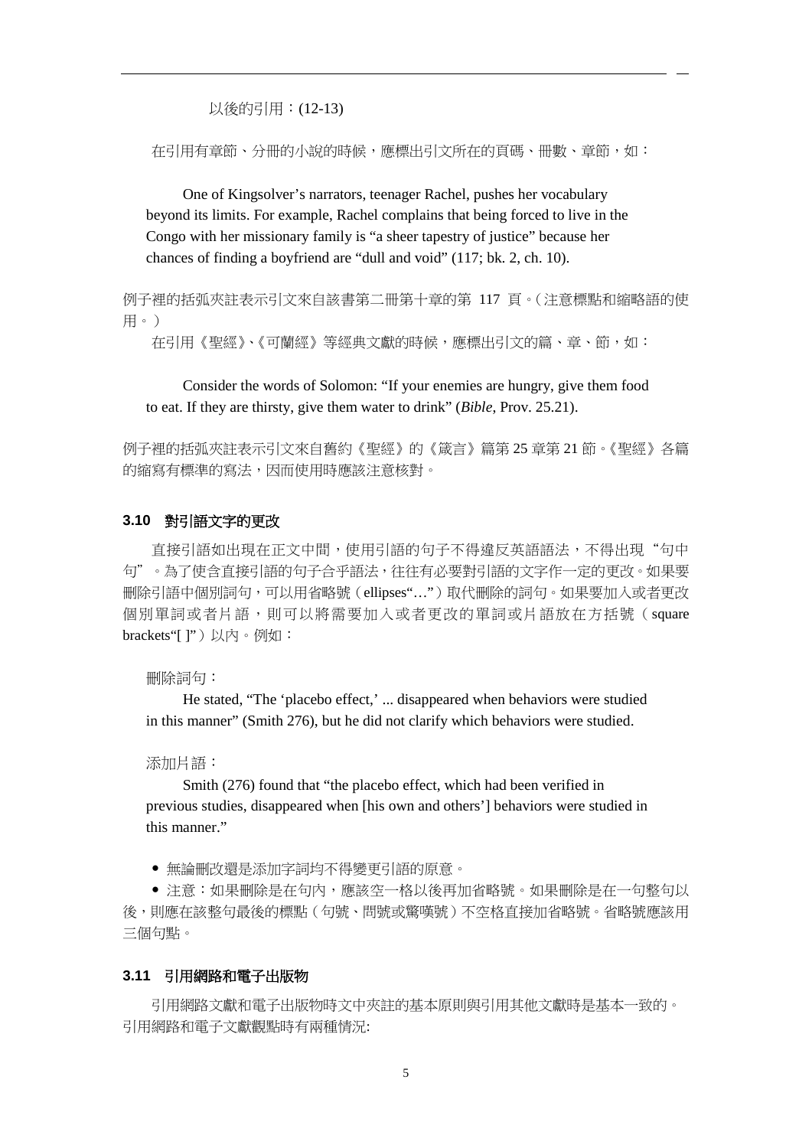以後的引用:(12-13)

在引用有章節、分冊的小說的時候,應標出引文所在的頁碼、冊數、章節,如:

One of Kingsolver's narrators, teenager Rachel, pushes her vocabulary beyond its limits. For example, Rachel complains that being forced to live in the Congo with her missionary family is "a sheer tapestry of justice" because her chances of finding a boyfriend are "dull and void" (117; bk. 2, ch. 10).

例子裡的括弧夾註表示引文來自該書第二冊第十章的第 117 頁。(注意標點和縮略語的使 用。)

在引用《聖經》、《可蘭經》等經典文獻的時候,應標出引文的篇、章、節,如:

Consider the words of Solomon: "If your enemies are hungry, give them food to eat. If they are thirsty, give them water to drink" (*Bible*, Prov. 25.21).

例子裡的括弧夾註表示引文來自舊約《聖經》的《箴言》篇第 25 章第 21 節。《聖經》各篇 的縮寫有標準的寫法,因而使用時應該注意核對。

#### **3.10** 對引語文字的更改

直接引語如出現在正文中間,使用引語的句子不得違反英語語法,不得出現"句中 句"。為了使含直接引語的句子合乎語法,往往有必要對引語的文字作一定的更改。如果要 刪除引語中個別詞句,可以用省略號(ellipses"…")取代刪除的詞句。如果要加入或者更改 個別單詞或者片語,則可以將需要加入或者更改的單詞或片語放在方括號(square brackets"[ ]")以内。例如:

#### 刪除詞句:

He stated, "The 'placebo effect,' ... disappeared when behaviors were studied in this manner" (Smith 276), but he did not clarify which behaviors were studied.

#### 添加片語:

Smith (276) found that "the placebo effect, which had been verified in previous studies, disappeared when [his own and others'] behaviors were studied in this manner."

無論刪改還是添加字詞均不得變更引語的原意。

● 注意:如果刪除是在句內,應該空一格以後再加省略號。如果刪除是在一句整句以 後,則應在該整句最後的標點(句號、問號或驚嘆號)不空格直接加省略號。省略號應該用 三個句點。

#### **3.11** 引用網路和電子出版物

引用網路文獻和電子出版物時文中夾註的基本原則與引用其他文獻時是基本一致的。 引用網路和電子文獻觀點時有兩種情況: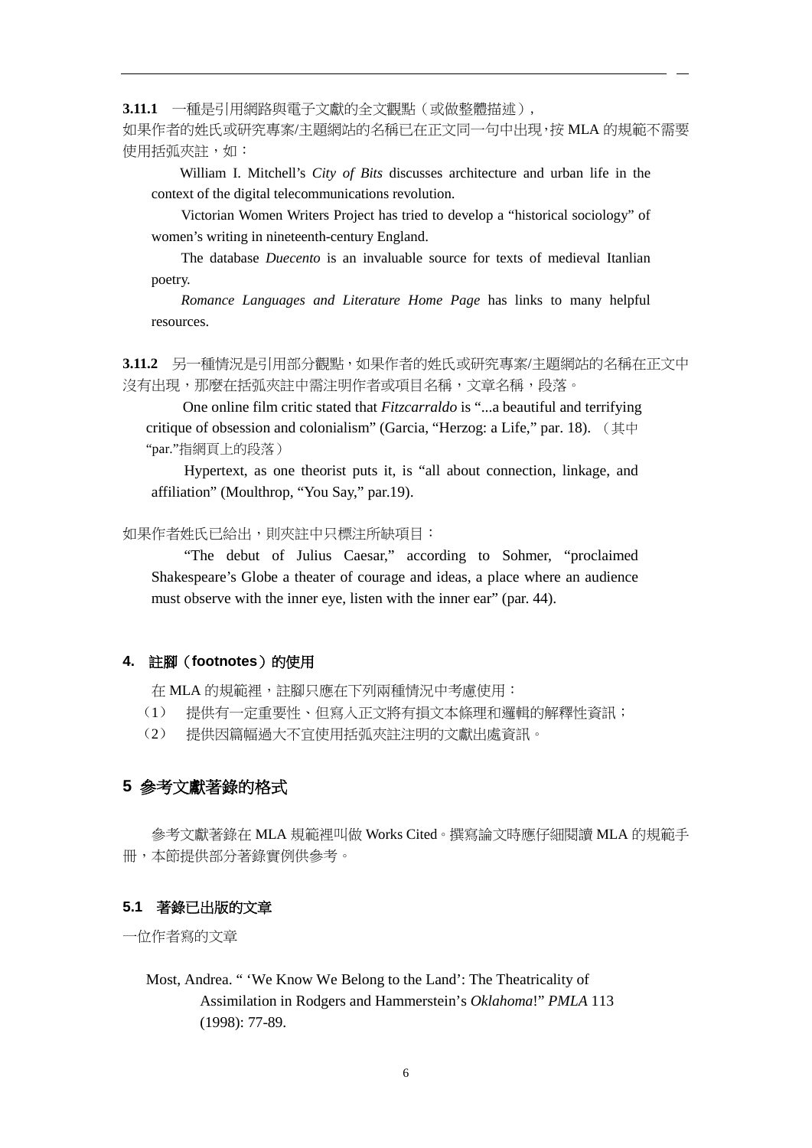**3.11.1** 一種是引用網路與電子文獻的全文觀點(或做整體描述),

如果作者的姓氏或研究專案/主題網站的名稱已在正文同一句中出現,按 MLA 的規範不需要 使用括弧夾註,如:

William I. Mitchell's *City of Bits* discusses architecture and urban life in the context of the digital telecommunications revolution.

Victorian Women Writers Project has tried to develop a "historical sociology" of women's writing in nineteenth-century England.

The database *Duecento* is an invaluable source for texts of medieval Itanlian poetry.

*Romance Languages and Literature Home Page* has links to many helpful resources.

**3.11.2** 另一種情況是引用部分觀點,如果作者的姓氏或研究專案/主題網站的名稱在正文中 沒有出現,那麼在括弧夾註中需注明作者或項目名稱,文章名稱,段落。

One online film critic stated that *Fitzcarraldo* is "...a beautiful and terrifying critique of obsession and colonialism" (Garcia, "Herzog: a Life," par. 18). (其中 "par."指網頁上的段落)

Hypertext, as one theorist puts it, is "all about connection, linkage, and affiliation" (Moulthrop, "You Say," par.19).

如果作者姓氏已給出,則夾註中只標注所缺項目:

"The debut of Julius Caesar," according to Sohmer, "proclaimed Shakespeare's Globe a theater of courage and ideas, a place where an audience must observe with the inner eye, listen with the inner ear" (par. 44).

#### **4.** 註腳(**footnotes**)的使用

在 MLA 的規範裡,註腳只應在下列兩種情況中考慮使用:

- (1) 提供有一定重要性、但寫入正文將有損文本條理和邏輯的解釋性資訊;
- (2) 提供因篇幅過大不宜使用括弧夾註注明的文獻出處資訊。

# **5** 參考文獻著錄的格式

參考文獻著錄在 MLA 規範裡叫做 Works Cited。撰寫論文時應仔細閱讀 MLA 的規範手 冊,本節提供部分著錄實例供參考。

#### **5.1** 著錄已出版的文章

一位作者寫的文章

Most, Andrea. " 'We Know We Belong to the Land': The Theatricality of Assimilation in Rodgers and Hammerstein's *Oklahoma*!" *PMLA* 113 (1998): 77-89.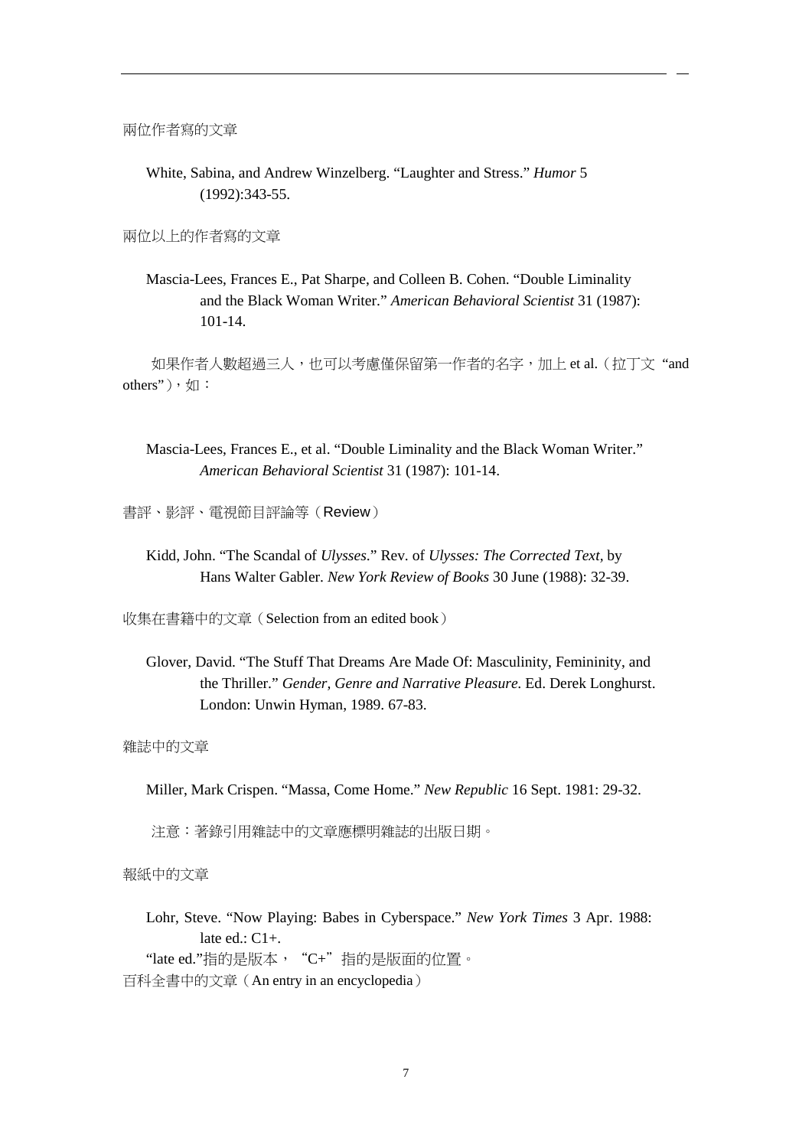兩位作者寫的文章

White, Sabina, and Andrew Winzelberg. "Laughter and Stress." *Humor* 5 (1992):343-55.

兩位以上的作者寫的文章

Mascia-Lees, Frances E., Pat Sharpe, and Colleen B. Cohen. "Double Liminality and the Black Woman Writer." *American Behavioral Scientist* 31 (1987): 101-14.

如果作者人數超過三人,也可以考慮僅保留第一作者的名字,加上 et al.(拉丁文 "and others"),如:

Mascia-Lees, Frances E., et al. "Double Liminality and the Black Woman Writer." *American Behavioral Scientist* 31 (1987): 101-14.

書評、影評、電視節目評論等(Review)

Kidd, John. "The Scandal of *Ulysses*." Rev. of *Ulysses: The Corrected Text,* by Hans Walter Gabler. *New York Review of Books* 30 June (1988): 32-39.

收集在書籍中的文章(Selection from an edited book)

Glover, David. "The Stuff That Dreams Are Made Of: Masculinity, Femininity, and the Thriller." *Gender, Genre and Narrative Pleasure.* Ed. Derek Longhurst. London: Unwin Hyman, 1989. 67-83.

雜誌中的文章

Miller, Mark Crispen. "Massa, Come Home." *New Republic* 16 Sept. 1981: 29-32.

注意:著錄引用雜誌中的文章應標明雜誌的出版日期。

報紙中的文章

Lohr, Steve. "Now Playing: Babes in Cyberspace." *New York Times* 3 Apr. 1988: late  $ed$ :  $C1+$ . "late ed."指的是版本, "C+"指的是版面的位置。 百科全書中的文章(An entry in an encyclopedia)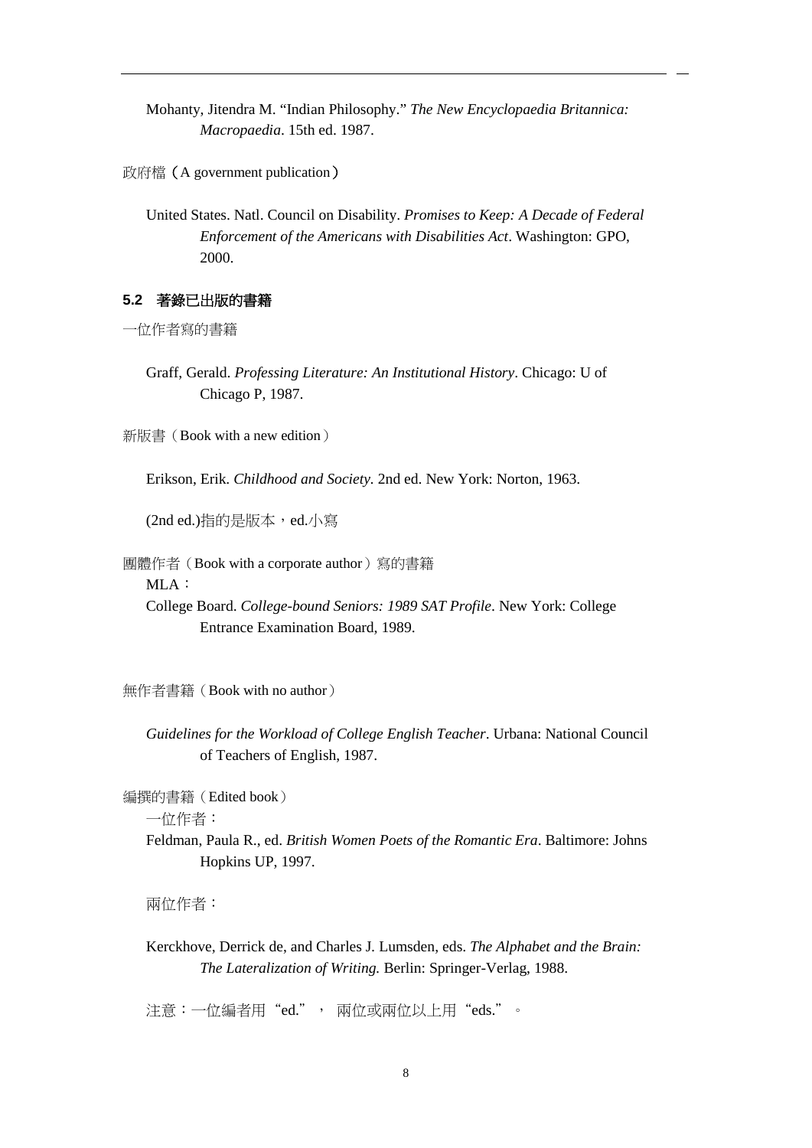Mohanty, Jitendra M. "Indian Philosophy." *The New Encyclopaedia Britannica: Macropaedia*. 15th ed. 1987.

政府檔(A government publication)

United States. Natl. Council on Disability. *Promises to Keep: A Decade of Federal Enforcement of the Americans with Disabilities Act*. Washington: GPO, 2000.

#### **5.2** 著錄已出版的書籍

一位作者寫的書籍

Graff, Gerald. *Professing Literature: An Institutional History*. Chicago: U of Chicago P, 1987.

新版書(Book with a new edition)

Erikson, Erik. *Childhood and Society.* 2nd ed. New York: Norton, 1963.

(2nd ed.)指的是版本,ed.小寫

團體作者(Book with a corporate author)寫的書籍

MLA:

College Board. *College-bound Seniors: 1989 SAT Profile*. New York: College Entrance Examination Board, 1989.

無作者書籍(Book with no author)

*Guidelines for the Workload of College English Teacher*. Urbana: National Council of Teachers of English, 1987.

編撰的書籍(Edited book)

一位作者:

Feldman, Paula R., ed. *British Women Poets of the Romantic Era*. Baltimore: Johns Hopkins UP, 1997.

兩位作者:

Kerckhove, Derrick de, and Charles J*.* Lumsden, eds. *The Alphabet and the Brain: The Lateralization of Writing.* Berlin: Springer-Verlag, 1988.

注意:一位編者用"ed.", 兩位或兩位以上用"eds."。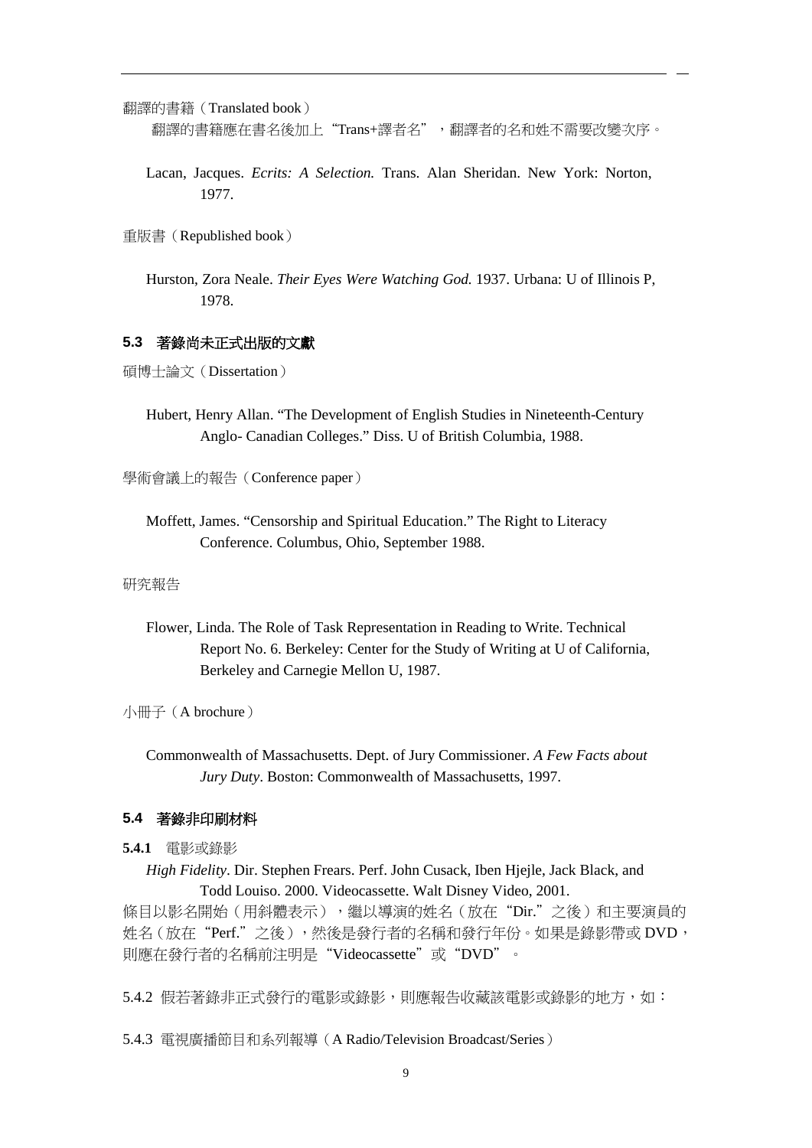翻譯的書籍(Translated book) 翻譯的書籍應在書名後加上"Trans+譯者名",翻譯者的名和姓不需要改變次序。

Lacan, Jacques. *Ecrits: A Selection.* Trans. Alan Sheridan. New York: Norton, 1977.

重版書(Republished book)

Hurston, Zora Neale. *Their Eyes Were Watching God.* 1937. Urbana: U of Illinois P, 1978.

#### **5.3** 著錄尚未正式出版的文獻

碩博士論文(Dissertation)

Hubert, Henry Allan. "The Development of English Studies in Nineteenth-Century Anglo- Canadian Colleges." Diss. U of British Columbia, 1988.

學術會議上的報告(Conference paper)

Moffett, James. "Censorship and Spiritual Education." The Right to Literacy Conference. Columbus, Ohio, September 1988.

#### 研究報告

Flower, Linda. The Role of Task Representation in Reading to Write. Technical Report No. 6. Berkeley: Center for the Study of Writing at U of California, Berkeley and Carnegie Mellon U, 1987.

小冊子(A brochure)

Commonwealth of Massachusetts. Dept. of Jury Commissioner. *A Few Facts about Jury Duty*. Boston: Commonwealth of Massachusetts, 1997.

#### **5.4** 著錄非印刷材料

**5.4.1** 電影或錄影

*High Fidelity*. Dir. Stephen Frears. Perf. John Cusack, Iben Hjejle, Jack Black, and Todd Louiso. 2000. Videocassette. Walt Disney Video, 2001. 條目以影名開始(用斜體表示),繼以導演的姓名(放在"Dir."之後)和主要演員的 姓名(放在"Perf."之後),然後是發行者的名稱和發行年份。如果是錄影帶或 DVD, 則應在發行者的名稱前注明是"Videocassette"或"DVD"。

5.4.2 假若著錄非正式發行的電影或錄影,則應報告收藏該電影或錄影的地方,如:

5.4.3 電視廣播節目和系列報導(A Radio/Television Broadcast/Series)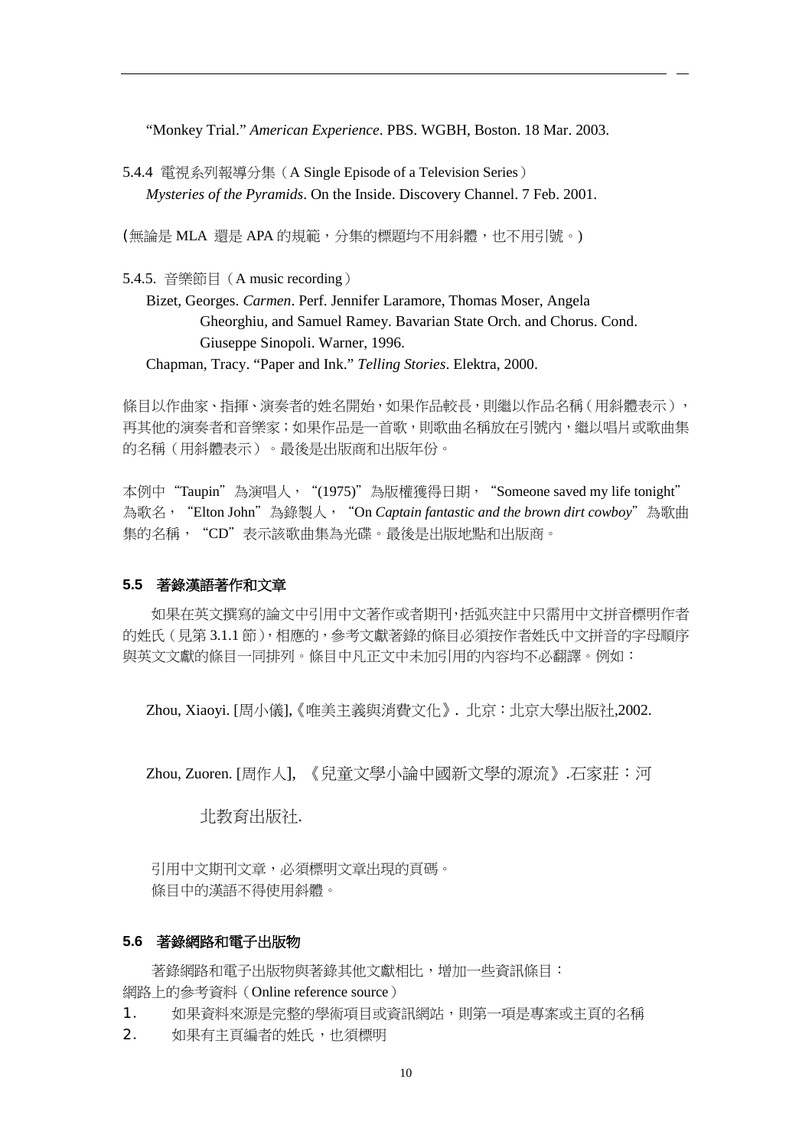"Monkey Trial." *American Experience*. PBS. WGBH, Boston. 18 Mar. 2003.

5.4.4 電視系列報導分集(A Single Episode of a Television Series) *Mysteries of the Pyramids*. On the Inside. Discovery Channel. 7 Feb. 2001.

(無論是 MLA 還是 APA 的規範,分集的標題均不用斜體,也不用引號。)

5.4.5. 音樂節目(A music recording)

Bizet, Georges. *Carmen*. Perf. Jennifer Laramore, Thomas Moser, Angela Gheorghiu, and Samuel Ramey. Bavarian State Orch. and Chorus. Cond. Giuseppe Sinopoli. Warner, 1996.

Chapman, Tracy. "Paper and Ink." *Telling Stories*. Elektra, 2000.

條目以作曲家、指揮、演奏者的姓名開始,如果作品較長,則繼以作品名稱(用斜體表示), 再其他的演奏者和音樂家;如果作品是一首歌,則歌曲名稱放在引號內,繼以唱片或歌曲集 的名稱(用斜體表示)。最後是出版商和出版年份。

本例中"Taupin"為演唱人,"(1975)"為版權獲得日期, "Someone saved my life tonight" 為歌名,"Elton John"為錄製人,"On *Captain fantastic and the brown dirt cowboy*"為歌曲 集的名稱, "CD"表示該歌曲集為光碟。最後是出版地點和出版商。

#### **5.5** 著錄漢語著作和文章

如果在英文撰寫的論文中引用中文著作或者期刊,括弧夾註中只需用中文拼音標明作者 的姓氏(見第 3.1.1 節),相應的,參考文獻著錄的條目必須按作者姓氏中文拼音的字母順序 與英文文獻的條目一同排列。條目中凡正文中未加引用的內容均不必翻譯。例如:

Zhou, Xiaoyi. [周小儀],《唯美主義與消費文化》. 北京:北京大學出版社,2002.

Zhou, Zuoren. [周作人], 《兒童文學小論中國新文學的源流》.石家莊:河

北教育出版社.

引用中文期刊文章,必須標明文章出現的頁碼。 條目中的漢語不得使用斜體。

#### **5.6** 著錄網路和電子出版物

著錄網路和電子出版物與著錄其他文獻相比,增加一些資訊條目: 網路上的參考資料(Online reference source)

- 1. 如果資料來源是完整的學術項目或資訊網站,則第一項是專案或主頁的名稱
- 2. 如果有主頁編者的姓氏,也須標明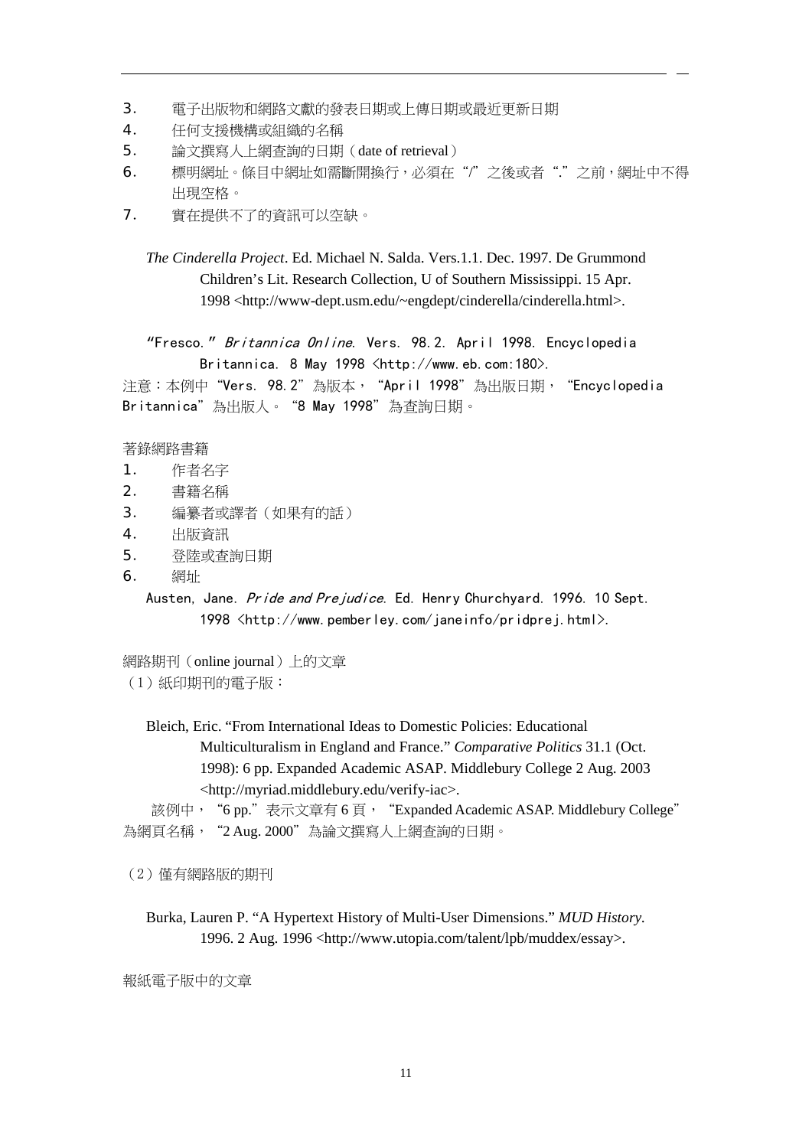- 3. 電子出版物和網路文獻的發表日期或上傳日期或最近更新日期
- 4. 任何支援機構或組織的名稱
- 5. 論文撰寫人上網查詢的日期(date of retrieval)
- 6. 標明網址。條目中網址如需斷開換行,必須在"/"之後或者"."之前,網址中不得 出現空格。
- 7. 實在提供不了的資訊可以空缺。
	- *The Cinderella Project*. Ed. Michael N. Salda. Vers.1.1. Dec. 1997. De Grummond Children's Lit. Research Collection, U of Southern Mississippi. 15 Apr. 1998 <http://www-dept.usm.edu/~engdept/cinderella/cinderella.html>.

"Fresco." Britannica Online. Vers. 98.2. April 1998. Encyclopedia Britannica. 8 May 1998 <http://www.eb.com:180>.

注意:本例中"Vers. 98.2"為版本, "April 1998"為出版日期, "Encyclopedia Britannica"為出版人。"8 May 1998"為查詢日期。

著錄網路書籍

- 1. 作者名字
- 2. 書籍名稱
- 3. 編纂者或譯者(如果有的話)
- 4. 出版資訊
- 5. 登陸或查詢日期
- 6. 網址

Austen, Jane. Pride and Prejudice. Ed. Henry Churchyard. 1996. 10 Sept. 1998 [<http://www.pemberley.com/janeinfo/pridprej.html>](http://www.pemberley.com/janeinfo/pridprej.html).

網路期刊(online journal)上的文章 (1)紙印期刊的電子版:

> Bleich, Eric. "From International Ideas to Domestic Policies: Educational Multiculturalism in England and France." *Comparative Politics* 31.1 (Oct. 1998): 6 pp. Expanded Academic ASAP. Middlebury College 2 Aug. 2003 <http://myriad.middlebury.edu/verify-iac>.

該例中, "6 pp."表示文章有 6 頁, "Expanded Academic ASAP. Middlebury College" 為網頁名稱, "2 Aug. 2000"為論文撰寫人上網查詢的日期。

(2)僅有網路版的期刊

Burka, Lauren P. "A Hypertext History of Multi-User Dimensions." *MUD History.* 1996. 2 Aug. 1996 <http://www.utopia.com/talent/lpb/muddex/essay>.

報紙電子版中的文章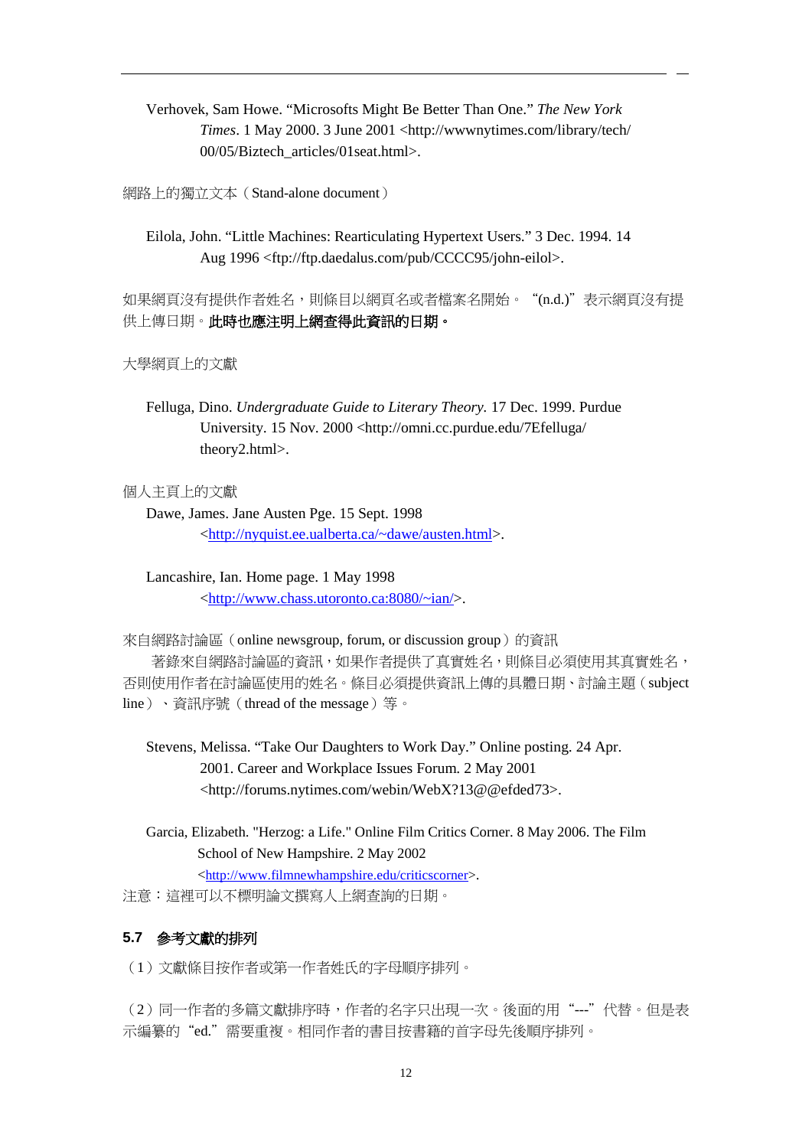Verhovek, Sam Howe. "Microsofts Might Be Better Than One." *The New York Times*. 1 May 2000. 3 June 2001 <http://wwwnytimes.com/library/tech/ 00/05/Biztech\_articles/01seat.html>.

網路上的獨立文本(Stand-alone document)

Eilola, John. "Little Machines: Rearticulating Hypertext Users." 3 Dec. 1994. 14 Aug 1996 <ftp://ftp.daedalus.com/pub/CCCC95/john-eilol>.

如果網頁沒有提供作者姓名,則條目以網頁名或者檔案名開始。"(n.d.)"表示網頁沒有提 供上傳日期。此時也應注明上網查得此資訊的日期。

大學網頁上的文獻

Felluga, Dino. *Undergraduate Guide to Literary Theory.* 17 Dec. 1999. Purdue University. 15 Nov. 2000 <http://omni.cc.purdue.edu/7Efelluga/ theory2.html>.

個人主頁上的文獻

Dawe, James. Jane Austen Pge. 15 Sept. 1998 [<http://nyquist.ee.ualberta.ca/~dawe/austen.html>](http://nyquist.ee.ualberta.ca/%7Edawe/austen.html).

Lancashire, Ian. Home page. 1 May 1998 [<http://www.chass.utoronto.ca:8080/~ian/>](http://www.chass.utoronto.ca:8080/%7Eian/).

來自網路討論區 (online newsgroup, forum, or discussion group) 的資訊 著錄來自網路討論區的資訊,如果作者提供了真實姓名,則條目必須使用其真實姓名, 否則使用作者在討論區使用的姓名。條目必須提供資訊上傳的具體日期、討論主題(subject line)、資訊序號(thread of the message)等。

Stevens, Melissa. "Take Our Daughters to Work Day." Online posting. 24 Apr. 2001. Career and Workplace Issues Forum. 2 May 2001 <http://forums.nytimes.com/webin/WebX?13@@efded73>.

Garcia, Elizabeth. "Herzog: a Life." Online Film Critics Corner. 8 May 2006. The Film School of New Hampshire. 2 May 2002 [<http://www.filmnewhampshire.edu/criticscorner>](http://www.filmnewhampshire.edu/criticscorner).

注意:這裡可以不標明論文撰寫人上網查詢的日期。

# **5.7** 參考文獻的排列

(1)文獻條目按作者或第一作者姓氏的字母順序排列。

(2)同一作者的多篇文獻排序時,作者的名字只出現一次。後面的用"---"代替。但是表 示編纂的"ed."需要重複。相同作者的書目按書籍的首字母先後順序排列。